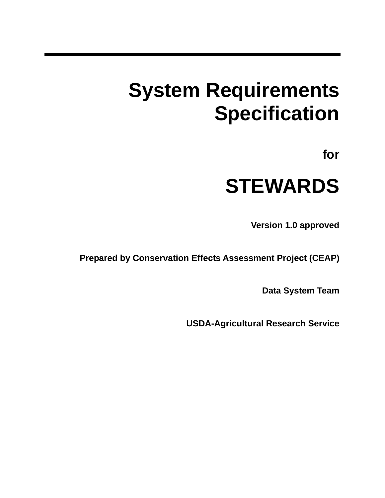# **System Requirements Specification**

**for** 

# **STEWARDS**

**Version 1.0 approved** 

**Prepared by Conservation Effects Assessment Project (CEAP)** 

**Data System Team** 

**USDA-Agricultural Research Service**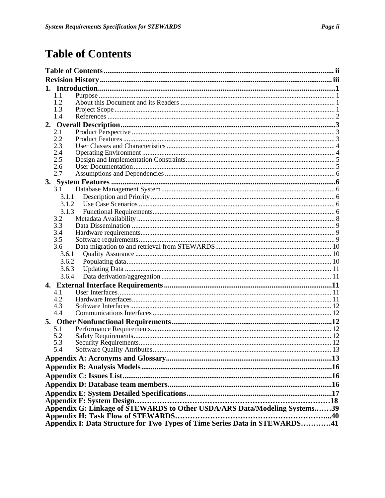# **Table of Contents**

| 1.1                                                                        |  |
|----------------------------------------------------------------------------|--|
| 1.2                                                                        |  |
| 1.3                                                                        |  |
| 1.4                                                                        |  |
|                                                                            |  |
| 2.1                                                                        |  |
| 2.2                                                                        |  |
| 2.3                                                                        |  |
| 2.4                                                                        |  |
| 2.5                                                                        |  |
| 2.6                                                                        |  |
| 2.7                                                                        |  |
|                                                                            |  |
| 3.1                                                                        |  |
| 3.1.1                                                                      |  |
| 3.1.2                                                                      |  |
| 3.1.3                                                                      |  |
| 3.2                                                                        |  |
| 3.3                                                                        |  |
| 3.4                                                                        |  |
| 3.5                                                                        |  |
| 3.6                                                                        |  |
| 3.6.1                                                                      |  |
| 3.6.2                                                                      |  |
| 3.6.3                                                                      |  |
| 3.6.4                                                                      |  |
|                                                                            |  |
| 4.1                                                                        |  |
| 4.2                                                                        |  |
| 4.3                                                                        |  |
| 4.4                                                                        |  |
|                                                                            |  |
| 5.1                                                                        |  |
| 5.2                                                                        |  |
| 5.3                                                                        |  |
| 5.4                                                                        |  |
|                                                                            |  |
|                                                                            |  |
|                                                                            |  |
|                                                                            |  |
|                                                                            |  |
|                                                                            |  |
| Appendix G: Linkage of STEWARDS to Other USDA/ARS Data/Modeling Systems39  |  |
|                                                                            |  |
| Appendix I: Data Structure for Two Types of Time Series Data in STEWARDS41 |  |
|                                                                            |  |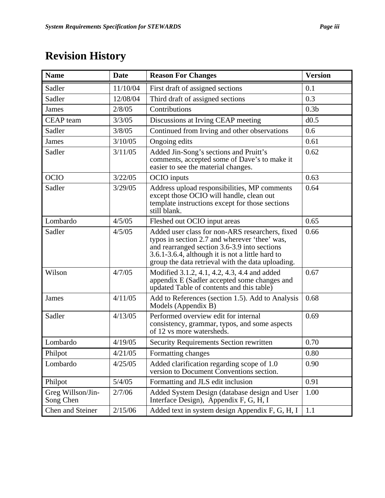# **Revision History**

| <b>Name</b>                    | <b>Date</b> | <b>Reason For Changes</b>                                                                                                                                                                                                                                 | <b>Version</b>   |
|--------------------------------|-------------|-----------------------------------------------------------------------------------------------------------------------------------------------------------------------------------------------------------------------------------------------------------|------------------|
| Sadler                         | 11/10/04    | First draft of assigned sections                                                                                                                                                                                                                          | 0.1              |
| Sadler                         | 12/08/04    | Third draft of assigned sections                                                                                                                                                                                                                          | 0.3              |
| James                          | 2/8/05      | Contributions                                                                                                                                                                                                                                             | 0.3 <sub>b</sub> |
| <b>CEAP</b> team               | 3/3/05      | Discussions at Irving CEAP meeting                                                                                                                                                                                                                        | d0.5             |
| Sadler                         | 3/8/05      | Continued from Irving and other observations                                                                                                                                                                                                              | 0.6              |
| <b>James</b>                   | 3/10/05     | Ongoing edits                                                                                                                                                                                                                                             | 0.61             |
| Sadler                         | 3/11/05     | Added Jin-Song's sections and Pruitt's<br>comments, accepted some of Dave's to make it<br>easier to see the material changes.                                                                                                                             | 0.62             |
| <b>OCIO</b>                    | 3/22/05     | OCIO inputs                                                                                                                                                                                                                                               | 0.63             |
| Sadler                         | 3/29/05     | Address upload responsibilities, MP comments<br>except those OCIO will handle, clean out<br>template instructions except for those sections<br>still blank.                                                                                               | 0.64             |
| Lombardo                       | 4/5/05      | Fleshed out OCIO input areas                                                                                                                                                                                                                              | 0.65             |
| Sadler                         | 4/5/05      | Added user class for non-ARS researchers, fixed<br>typos in section 2.7 and wherever 'thee' was,<br>and rearranged section 3.6-3.9 into sections<br>3.6.1-3.6.4, although it is not a little hard to<br>group the data retrieval with the data uploading. | 0.66             |
| Wilson                         | 4/7/05      | Modified 3.1.2, 4.1, 4.2, 4.3, 4.4 and added<br>appendix E (Sadler accepted some changes and<br>updated Table of contents and this table)                                                                                                                 | 0.67             |
| <b>James</b>                   | 4/11/05     | Add to References (section 1.5). Add to Analysis<br>Models (Appendix B)                                                                                                                                                                                   | 0.68             |
| Sadler                         | 4/13/05     | Performed overview edit for internal<br>consistency, grammar, typos, and some aspects<br>of 12 vs more watersheds.                                                                                                                                        | 0.69             |
| Lombardo                       | 4/19/05     | <b>Security Requirements Section rewritten</b>                                                                                                                                                                                                            | 0.70             |
| Philpot                        | 4/21/05     | Formatting changes                                                                                                                                                                                                                                        | 0.80             |
| Lombardo                       | 4/25/05     | Added clarification regarding scope of 1.0<br>version to Document Conventions section.                                                                                                                                                                    | 0.90             |
| Philpot                        | 5/4/05      | Formatting and JLS edit inclusion                                                                                                                                                                                                                         | 0.91             |
| Greg Willson/Jin-<br>Song Chen | 2/7/06      | Added System Design (database design and User<br>Interface Design), Appendix F, G, H, I                                                                                                                                                                   | 1.00             |
| Chen and Steiner               | 2/15/06     | Added text in system design Appendix F, G, H, I                                                                                                                                                                                                           | 1.1              |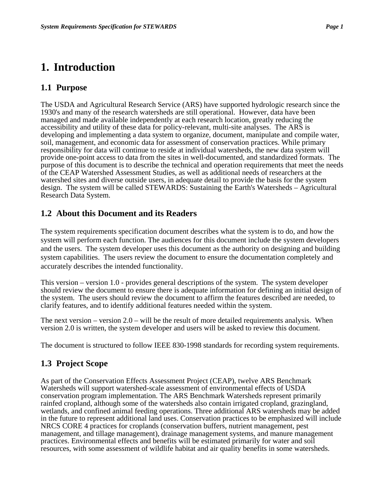# **1. Introduction**

# **1.1 Purpose**

The USDA and Agricultural Research Service (ARS) have supported hydrologic research since the 1930's and many of the research watersheds are still operational. However, data have been managed and made available independently at each research location, greatly reducing the accessibility and utility of these data for policy-relevant, multi-site analyses. The ARS is developing and implementing a data system to organize, document, manipulate and compile water, soil, management, and economic data for assessment of conservation practices. While primary responsibility for data will continue to reside at individual watersheds, the new data system will provide one-point access to data from the sites in well-documented, and standardized formats. The purpose of this document is to describe the technical and operation requirements that meet the needs of the CEAP Watershed Assessment Studies, as well as additional needs of researchers at the watershed sites and diverse outside users, in adequate detail to provide the basis for the system design. The system will be called STEWARDS: Sustaining the Earth's Watersheds – Agricultural Research Data System.

# **1.2 About this Document and its Readers**

The system requirements specification document describes what the system is to do, and how the system will perform each function. The audiences for this document include the system developers and the users. The system developer uses this document as the authority on designing and building system capabilities. The users review the document to ensure the documentation completely and accurately describes the intended functionality.

This version – version 1.0 - provides general descriptions of the system. The system developer should review the document to ensure there is adequate information for defining an initial design of the system. The users should review the document to affirm the features described are needed, to clarify features, and to identify additional features needed within the system.

The next version – version  $2.0 -$  will be the result of more detailed requirements analysis. When version 2.0 is written, the system developer and users will be asked to review this document.

The document is structured to follow IEEE 830-1998 standards for recording system requirements.

# **1.3 Project Scope**

As part of the Conservation Effects Assessment Project (CEAP), twelve ARS Benchmark Watersheds will support watershed-scale assessment of environmental effects of USDA conservation program implementation. The ARS Benchmark Watersheds represent primarily rainfed cropland, although some of the watersheds also contain irrigated cropland, grazingland, wetlands, and confined animal feeding operations. Three additional ARS watersheds may be added in the future to represent additional land uses. Conservation practices to be emphasized will include NRCS CORE 4 practices for croplands (conservation buffers, nutrient management, pest management, and tillage management), drainage management systems, and manure management practices. Environmental effects and benefits will be estimated primarily for water and soil resources, with some assessment of wildlife habitat and air quality benefits in some watersheds.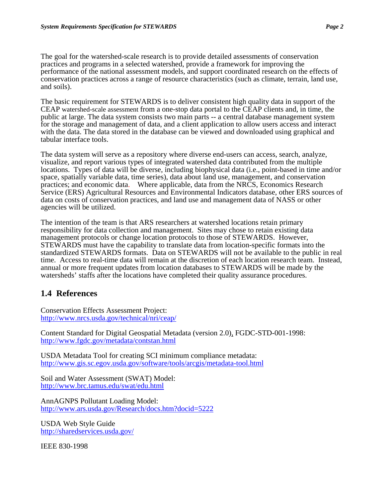The goal for the watershed-scale research is to provide detailed assessments of conservation practices and programs in a selected watershed, provide a framework for improving the performance of the national assessment models, and support coordinated research on the effects of conservation practices across a range of resource characteristics (such as climate, terrain, land use, and soils).

The basic requirement for STEWARDS is to deliver consistent high quality data in support of the CEAP watershed-scale assessment from a one-stop data portal to the CEAP clients and, in time, the public at large. The data system consists two main parts -- a central database management system for the storage and management of data, and a client application to allow users access and interact with the data. The data stored in the database can be viewed and downloaded using graphical and tabular interface tools.

The data system will serve as a repository where diverse end-users can access, search, analyze, visualize, and report various types of integrated watershed data contributed from the multiple locations. Types of data will be diverse, including biophysical data (i.e., point-based in time and/or space, spatially variable data, time series), data about land use, management, and conservation practices; and economic data. Where applicable, data from the NRCS, Economics Research Service (ERS) Agricultural Resources and Environmental Indicators database, other ERS sources of data on costs of conservation practices, and land use and management data of NASS or other agencies will be utilized.

The intention of the team is that ARS researchers at watershed locations retain primary responsibility for data collection and management. Sites may chose to retain existing data management protocols or change location protocols to those of STEWARDS. However, STEWARDS must have the capability to translate data from location-specific formats into the standardized STEWARDS formats. Data on STEWARDS will not be available to the public in real time. Access to real-time data will remain at the discretion of each location research team. Instead, annual or more frequent updates from location databases to STEWARDS will be made by the watersheds' staffs after the locations have completed their quality assurance procedures.

# **1.4 References**

Conservation Effects Assessment Project: http://www.nrcs.usda.gov/technical/nri/ceap/

Content Standard for Digital Geospatial Metadata (version 2.0), FGDC-STD-001-1998: http://www.fgdc.gov/metadata/contstan.html

USDA Metadata Tool for creating SCI minimum compliance metadata: http://www.gis.sc.egov.usda.gov/software/tools/arcgis/metadata-tool.html

Soil and Water Assessment (SWAT) Model: http://www.brc.tamus.edu/swat/edu.html

AnnAGNPS Pollutant Loading Model: http://www.ars.usda.gov/Research/docs.htm?docid=5222

USDA Web Style Guide http://sharedservices.usda.gov/

IEEE 830-1998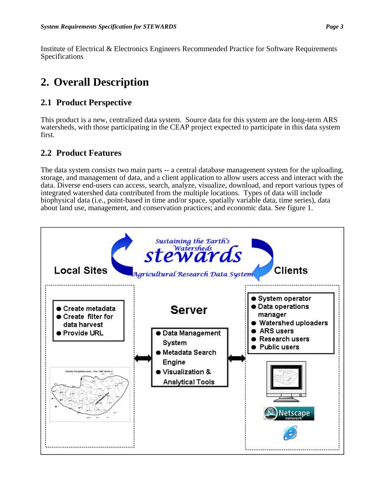Institute of Electrical & Electronics Engineers Recommended Practice for Software Requirements Specifications

# **2. Overall Description**

# **2.1 Product Perspective**

This product is a new, centralized data system. Source data for this system are the long-term ARS watersheds, with those participating in the CEAP project expected to participate in this data system first.

# **2.2 Product Features**

The data system consists two main parts -- a central database management system for the uploading, storage, and management of data, and a client application to allow users access and interact with the data. Diverse end-users can access, search, analyze, visualize, download, and report various types of integrated watershed data contributed from the multiple locations. Types of data will include biophysical data (i.e., point-based in time and/or space, spatially variable data, time series), data about land use, management, and conservation practices; and economic data. See figure 1.

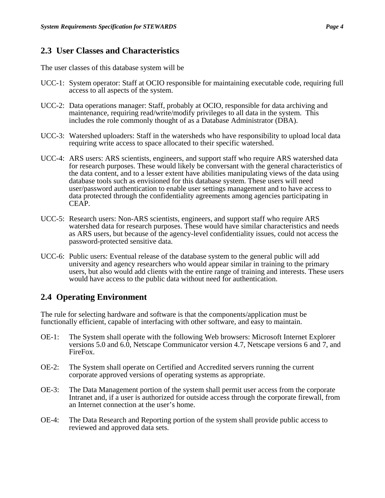## **2.3 User Classes and Characteristics**

The user classes of this database system will be

- UCC-1: System operator: Staff at OCIO responsible for maintaining executable code, requiring full access to all aspects of the system.
- UCC-2: Data operations manager: Staff, probably at OCIO, responsible for data archiving and maintenance, requiring read/write/modify privileges to all data in the system. This includes the role commonly thought of as a Database Administrator (DBA).
- UCC-3: Watershed uploaders: Staff in the watersheds who have responsibility to upload local data requiring write access to space allocated to their specific watershed.
- UCC-4: ARS users: ARS scientists, engineers, and support staff who require ARS watershed data for research purposes. These would likely be conversant with the general characteristics of the data content, and to a lesser extent have abilities manipulating views of the data using database tools such as envisioned for this database system. These users will need user/password authentication to enable user settings management and to have access to data protected through the confidentiality agreements among agencies participating in CEAP.
- UCC-5: Research users: Non-ARS scientists, engineers, and support staff who require ARS watershed data for research purposes. These would have similar characteristics and needs as ARS users, but because of the agency-level confidentiality issues, could not access the password-protected sensitive data.
- UCC-6: Public users: Eventual release of the database system to the general public will add university and agency researchers who would appear similar in training to the primary users, but also would add clients with the entire range of training and interests. These users would have access to the public data without need for authentication.

# **2.4 Operating Environment**

The rule for selecting hardware and software is that the components/application must be functionally efficient, capable of interfacing with other software, and easy to maintain.

- OE-1: The System shall operate with the following Web browsers: Microsoft Internet Explorer versions 5.0 and 6.0, Netscape Communicator version 4.7, Netscape versions 6 and 7, and FireFox.
- OE-2: The System shall operate on Certified and Accredited servers running the current corporate approved versions of operating systems as appropriate.
- OE-3: The Data Management portion of the system shall permit user access from the corporate Intranet and, if a user is authorized for outside access through the corporate firewall, from an Internet connection at the user's home.
- OE-4: The Data Research and Reporting portion of the system shall provide public access to reviewed and approved data sets.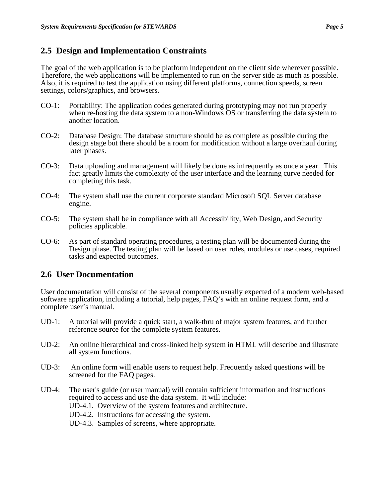## **2.5 Design and Implementation Constraints**

The goal of the web application is to be platform independent on the client side wherever possible. Therefore, the web applications will be implemented to run on the server side as much as possible. Also, it is required to test the application using different platforms, connection speeds, screen settings, colors/graphics, and browsers.

- CO-1: Portability: The application codes generated during prototyping may not run properly when re-hosting the data system to a non-Windows OS or transferring the data system to another location.
- CO-2: Database Design: The database structure should be as complete as possible during the design stage but there should be a room for modification without a large overhaul during later phases.
- CO-3: Data uploading and management will likely be done as infrequently as once a year. This fact greatly limits the complexity of the user interface and the learning curve needed for completing this task.
- CO-4: The system shall use the current corporate standard Microsoft SQL Server database engine.
- CO-5: The system shall be in compliance with all Accessibility, Web Design, and Security policies applicable*.*
- CO-6: As part of standard operating procedures, a testing plan will be documented during the Design phase*.* The testing plan will be based on user roles, modules or use cases, required tasks and expected outcomes.

## **2.6 User Documentation**

User documentation will consist of the several components usually expected of a modern web-based software application, including a tutorial, help pages, FAQ's with an online request form, and a complete user's manual.

- UD-1: A tutorial will provide a quick start, a walk-thru of major system features, and further reference source for the complete system features.
- UD-2: An online hierarchical and cross-linked help system in HTML will describe and illustrate all system functions.
- UD-3: An online form will enable users to request help. Frequently asked questions will be screened for the FAQ pages.
- UD-4: The user's guide (or user manual) will contain sufficient information and instructions required to access and use the data system. It will include:
	- UD-4.1. Overview of the system features and architecture.
	- UD-4.2. Instructions for accessing the system.
	- UD-4.3. Samples of screens, where appropriate.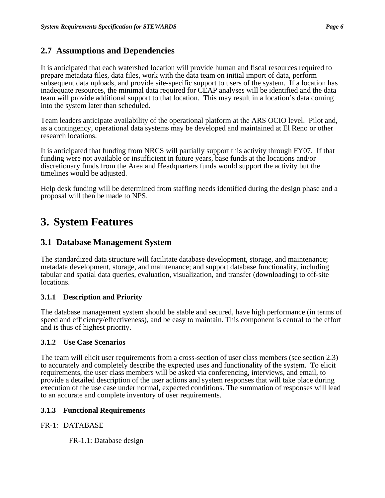## **2.7 Assumptions and Dependencies**

It is anticipated that each watershed location will provide human and fiscal resources required to prepare metadata files, data files, work with the data team on initial import of data, perform subsequent data uploads, and provide site-specific support to users of the system. If a location has inadequate resources, the minimal data required for CEAP analyses will be identified and the data team will provide additional support to that location. This may result in a location's data coming into the system later than scheduled.

Team leaders anticipate availability of the operational platform at the ARS OCIO level. Pilot and, as a contingency, operational data systems may be developed and maintained at El Reno or other research locations.

It is anticipated that funding from NRCS will partially support this activity through FY07. If that funding were not available or insufficient in future years, base funds at the locations and/or discretionary funds from the Area and Headquarters funds would support the activity but the timelines would be adjusted.

Help desk funding will be determined from staffing needs identified during the design phase and a proposal will then be made to NPS.

# **3. System Features**

## **3.1 Database Management System**

The standardized data structure will facilitate database development, storage, and maintenance; metadata development, storage, and maintenance; and support database functionality, including tabular and spatial data queries, evaluation, visualization, and transfer (downloading) to off-site locations.

#### **3.1.1 Description and Priority**

The database management system should be stable and secured, have high performance (in terms of speed and efficiency/effectiveness), and be easy to maintain. This component is central to the effort and is thus of highest priority.

#### **3.1.2 Use Case Scenarios**

The team will elicit user requirements from a cross-section of user class members (see section 2.3) to accurately and completely describe the expected uses and functionality of the system. To elicit requirements, the user class members will be asked via conferencing, interviews, and email, to provide a detailed description of the user actions and system responses that will take place during execution of the use case under normal, expected conditions. The summation of responses will lead to an accurate and complete inventory of user requirements.

#### **3.1.3 Functional Requirements**

#### FR-1: DATABASE

FR-1.1: Database design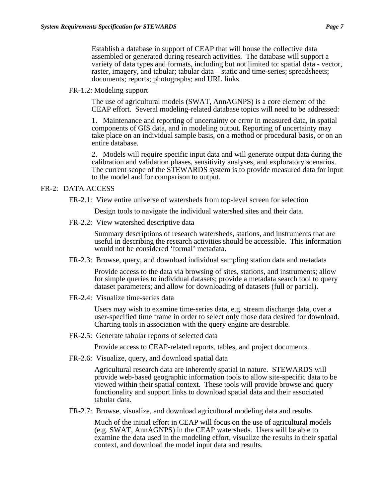Establish a database in support of CEAP that will house the collective data assembled or generated during research activities. The database will support a variety of data types and formats, including but not limited to: spatial data - vector, raster, imagery, and tabular; tabular data – static and time-series; spreadsheets; documents; reports; photographs; and URL links.

FR-1.2: Modeling support

The use of agricultural models (SWAT, AnnAGNPS) is a core element of the CEAP effort. Several modeling-related database topics will need to be addressed:

1. Maintenance and reporting of uncertainty or error in measured data, in spatial components of GIS data, and in modeling output. Reporting of uncertainty may take place on an individual sample basis, on a method or procedural basis, or on an entire database.

2. Models will require specific input data and will generate output data during the calibration and validation phases, sensitivity analyses, and exploratory scenarios. The current scope of the STEWARDS system is to provide measured data for input to the model and for comparison to output.

#### FR-2: DATA ACCESS

FR-2.1: View entire universe of watersheds from top-level screen for selection

Design tools to navigate the individual watershed sites and their data.

FR-2.2: View watershed descriptive data

Summary descriptions of research watersheds, stations, and instruments that are useful in describing the research activities should be accessible. This information would not be considered 'formal' metadata.

FR-2.3: Browse, query, and download individual sampling station data and metadata

Provide access to the data via browsing of sites, stations, and instruments; allow for simple queries to individual datasets; provide a metadata search tool to query dataset parameters; and allow for downloading of datasets (full or partial).

FR-2.4: Visualize time-series data

Users may wish to examine time-series data, e.g. stream discharge data, over a user-specified time frame in order to select only those data desired for download. Charting tools in association with the query engine are desirable.

FR-2.5: Generate tabular reports of selected data

Provide access to CEAP-related reports, tables, and project documents.

FR-2.6: Visualize, query, and download spatial data

Agricultural research data are inherently spatial in nature. STEWARDS will provide web-based geographic information tools to allow site-specific data to be viewed within their spatial context. These tools will provide browse and query functionality and support links to download spatial data and their associated tabular data.

FR-2.7: Browse, visualize, and download agricultural modeling data and results

Much of the initial effort in CEAP will focus on the use of agricultural models (e.g. SWAT, AnnAGNPS) in the CEAP watersheds. Users will be able to examine the data used in the modeling effort, visualize the results in their spatial context, and download the model input data and results.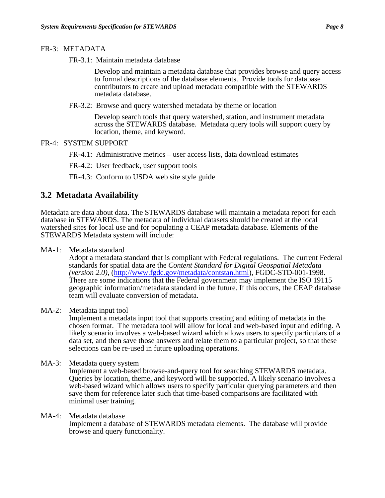#### FR-3: METADATA

FR-3.1: Maintain metadata database

Develop and maintain a metadata database that provides browse and query access to formal descriptions of the database elements. Provide tools for database contributors to create and upload metadata compatible with the STEWARDS metadata database.

FR-3.2: Browse and query watershed metadata by theme or location

Develop search tools that query watershed, station, and instrument metadata across the STEWARDS database. Metadata query tools will support query by location, theme, and keyword.

- FR-4: SYSTEM SUPPORT
	- FR-4.1: Administrative metrics user access lists, data download estimates
	- FR-4.2: User feedback, user support tools

FR-4.3: Conform to USDA web site style guide

## **3.2 Metadata Availability**

Metadata are data about data. The STEWARDS database will maintain a metadata report for each database in STEWARDS. The metadata of individual datasets should be created at the local watershed sites for local use and for populating a CEAP metadata database. Elements of the STEWARDS Metadata system will include:

MA-1: Metadata standard

Adopt a metadata standard that is compliant with Federal regulations. The current Federal standards for spatial data are the *Content Standard for Digital Geospatial Metadata (version 2.0),* (http://www.fgdc.gov/metadata/contstan.html), FGDC-STD-001-1998. There are some indications that the Federal government may implement the ISO 19115 geographic information/metadata standard in the future. If this occurs, the CEAP database team will evaluate conversion of metadata.

MA-2: Metadata input tool

Implement a metadata input tool that supports creating and editing of metadata in the chosen format. The metadata tool will allow for local and web-based input and editing. A likely scenario involves a web-based wizard which allows users to specify particulars of a data set, and then save those answers and relate them to a particular project, so that these selections can be re-used in future uploading operations.

MA-3: Metadata query system

Implement a web-based browse-and-query tool for searching STEWARDS metadata. Queries by location, theme, and keyword will be supported. A likely scenario involves a web-based wizard which allows users to specify particular querying parameters and then save them for reference later such that time-based comparisons are facilitated with minimal user training.

MA-4: Metadata database Implement a database of STEWARDS metadata elements. The database will provide browse and query functionality.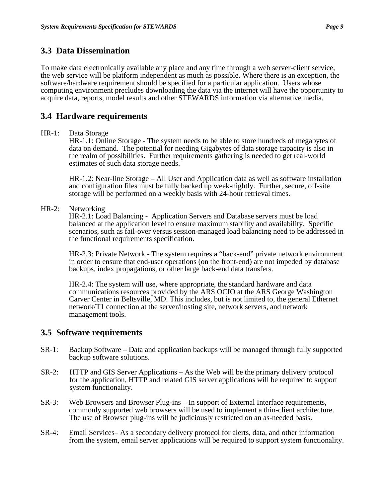## **3.3 Data Dissemination**

To make data electronically available any place and any time through a web server-client service, the web service will be platform independent as much as possible. Where there is an exception, the software/hardware requirement should be specified for a particular application. Users whose computing environment precludes downloading the data via the internet will have the opportunity to acquire data, reports, model results and other STEWARDS information via alternative media.

## **3.4 Hardware requirements**

#### HR-1: Data Storage

HR-1.1: Online Storage - The system needs to be able to store hundreds of megabytes of data on demand. The potential for needing Gigabytes of data storage capacity is also in the realm of possibilities. Further requirements gathering is needed to get real-world estimates of such data storage needs.

HR-1.2: Near-line Storage – All User and Application data as well as software installation and configuration files must be fully backed up week-nightly. Further, secure, off-site storage will be performed on a weekly basis with 24-hour retrieval times.

HR-2: Networking

HR-2.1: Load Balancing - Application Servers and Database servers must be load balanced at the application level to ensure maximum stability and availability. Specific scenarios, such as fail-over versus session-managed load balancing need to be addressed in the functional requirements specification.

HR-2.3: Private Network - The system requires a "back-end" private network environment in order to ensure that end-user operations (on the front-end) are not impeded by database backups, index propagations, or other large back-end data transfers.

HR-2.4: The system will use, where appropriate, the standard hardware and data communications resources provided by the ARS OCIO at the ARS George Washington Carver Center in Beltsville, MD. This includes, but is not limited to, the general Ethernet network/T1 connection at the server/hosting site, network servers, and network management tools.

## **3.5 Software requirements**

- SR-1: Backup Software Data and application backups will be managed through fully supported backup software solutions.
- SR-2: HTTP and GIS Server Applications As the Web will be the primary delivery protocol for the application, HTTP and related GIS server applications will be required to support system functionality.
- SR-3: Web Browsers and Browser Plug-ins In support of External Interface requirements, commonly supported web browsers will be used to implement a thin-client architecture. The use of Browser plug-ins will be judiciously restricted on an as-needed basis.
- SR-4: Email Services– As a secondary delivery protocol for alerts, data, and other information from the system, email server applications will be required to support system functionality.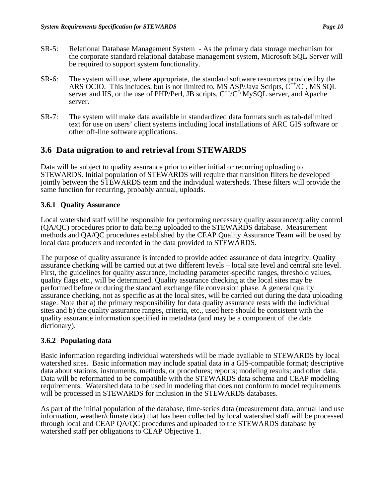- SR-5: Relational Database Management System As the primary data storage mechanism for the corporate standard relational database management system, Microsoft SQL Server will be required to support system functionality.
- SR-6: The system will use, where appropriate, the standard software resources provided by the ARS OCIO. This includes, but is not limited to, MS ASP/Java Scripts,  $C^{++}/C^+$ , MS SQL server and IIS, or the use of PHP/Perl, JB scripts,  $C^{++}/C^+$  MySQL server, and Apache server.
- SR-7: The system will make data available in standardized data formats such as tab-delimited text for use on users' client systems including local installations of ARC GIS software or other off-line software applications.

# **3.6 Data migration to and retrieval from STEWARDS**

Data will be subject to quality assurance prior to either initial or recurring uploading to STEWARDS. Initial population of STEWARDS will require that transition filters be developed jointly between the STEWARDS team and the individual watersheds. These filters will provide the same function for recurring, probably annual, uploads.

## **3.6.1 Quality Assurance**

Local watershed staff will be responsible for performing necessary quality assurance/quality control (QA/QC) procedures prior to data being uploaded to the STEWARDS database. Measurement methods and QA/QC procedures established by the CEAP Quality Assurance Team will be used by local data producers and recorded in the data provided to STEWARDS.

The purpose of quality assurance is intended to provide added assurance of data integrity. Quality assurance checking will be carried out at two different levels – local site level and central site level. First, the guidelines for quality assurance, including parameter-specific ranges, threshold values, quality flags etc., will be determined. Quality assurance checking at the local sites may be performed before or during the standard exchange file conversion phase. A general quality assurance checking, not as specific as at the local sites, will be carried out during the data uploading stage. Note that a) the primary responsibility for data quality assurance rests with the individual sites and b) the quality assurance ranges, criteria, etc., used here should be consistent with the quality assurance information specified in metadata (and may be a component of the data dictionary).

## **3.6.2 Populating data**

Basic information regarding individual watersheds will be made available to STEWARDS by local watershed sites. Basic information may include spatial data in a GIS-compatible format; descriptive data about stations, instruments, methods, or procedures; reports; modeling results; and other data. Data will be reformatted to be compatible with the STEWARDS data schema and CEAP modeling requirements. Watershed data to be used in modeling that does not conform to model requirements will be processed in STEWARDS for inclusion in the STEWARDS databases.

As part of the initial population of the database, time-series data (measurement data, annual land use information, weather/climate data) that has been collected by local watershed staff will be processed through local and CEAP QA/QC procedures and uploaded to the STEWARDS database by watershed staff per obligations to CEAP Objective 1.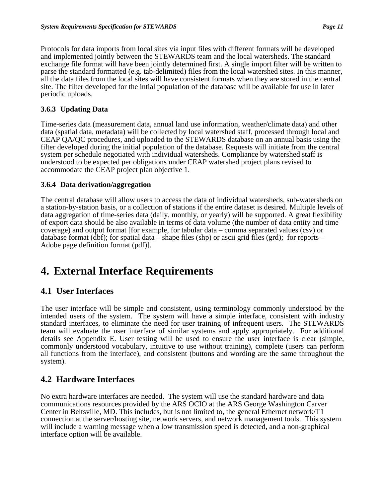Protocols for data imports from local sites via input files with different formats will be developed and implemented jointly between the STEWARDS team and the local watersheds. The standard exchange file format will have been jointly determined first. A single import filter will be written to parse the standard formatted (e.g. tab-delimited) files from the local watershed sites. In this manner, all the data files from the local sites will have consistent formats when they are stored in the central site. The filter developed for the intial population of the database will be available for use in later periodic uploads.

#### **3.6.3 Updating Data**

Time-series data (measurement data, annual land use information, weather/climate data) and other data (spatial data, metadata) will be collected by local watershed staff, processed through local and CEAP QA/QC procedures, and uploaded to the STEWARDS database on an annual basis using the filter developed during the initial population of the database. Requests will initiate from the central system per schedule negotiated with individual watersheds. Compliance by watershed staff is understood to be expected per obligations under CEAP watershed project plans revised to accommodate the CEAP project plan objective 1.

#### **3.6.4 Data derivation/aggregation**

The central database will allow users to access the data of individual watersheds, sub-watersheds on a station-by-station basis, or a collection of stations if the entire dataset is desired. Multiple levels of data aggregation of time-series data (daily, monthly, or yearly) will be supported. A great flexibility of export data should be also available in terms of data volume (the number of data entity and time coverage) and output format [for example, for tabular data – comma separated values (csv) or database format (dbf); for spatial data – shape files (shp) or ascii grid files (grd); for reports – Adobe page definition format (pdf)].

# **4. External Interface Requirements**

## **4.1 User Interfaces**

The user interface will be simple and consistent, using terminology commonly understood by the intended users of the system. The system will have a simple interface, consistent with industry standard interfaces, to eliminate the need for user training of infrequent users. The STEWARDS team will evaluate the user interface of similar systems and apply appropriately. For additional details see Appendix E. User testing will be used to ensure the user interface is clear (simple, commonly understood vocabulary, intuitive to use without training), complete (users can perform all functions from the interface), and consistent (buttons and wording are the same throughout the system).

## **4.2 Hardware Interfaces**

No extra hardware interfaces are needed. The system will use the standard hardware and data communications resources provided by the ARS OCIO at the ARS George Washington Carver Center in Beltsville, MD. This includes, but is not limited to, the general Ethernet network/T1 connection at the server/hosting site, network servers, and network management tools. This system will include a warning message when a low transmission speed is detected, and a non-graphical interface option will be available.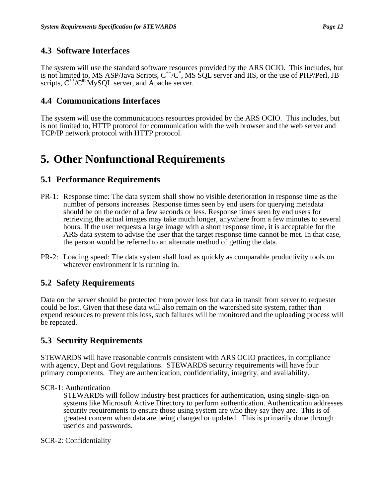# **4.3 Software Interfaces**

The system will use the standard software resources provided by the ARS OCIO. This includes, but is not limited to, MS ASP/Java Scripts,  $C^{++}/C^*$ , MS SQL server and IIS, or the use of PHP/Perl, JB scripts,  $C^{++}/C^{+}$  MySQL server, and Apache server.

# **4.4 Communications Interfaces**

The system will use the communications resources provided by the ARS OCIO. This includes, but is not limited to, HTTP protocol for communication with the web browser and the web server and TCP/IP network protocol with HTTP protocol.

# **5. Other Nonfunctional Requirements**

# **5.1 Performance Requirements**

- PR-1: Response time: The data system shall show no visible deterioration in response time as the number of persons increases. Response times seen by end users for querying metadata should be on the order of a few seconds or less. Response times seen by end users for retrieving the actual images may take much longer, anywhere from a few minutes to several hours. If the user requests a large image with a short response time, it is acceptable for the ARS data system to advise the user that the target response time cannot be met. In that case, the person would be referred to an alternate method of getting the data.
- PR-2: Loading speed: The data system shall load as quickly as comparable productivity tools on whatever environment it is running in.

# **5.2 Safety Requirements**

Data on the server should be protected from power loss but data in transit from server to requester could be lost. Given that these data will also remain on the watershed site system, rather than expend resources to prevent this loss, such failures will be monitored and the uploading process will be repeated.

# **5.3 Security Requirements**

STEWARDS will have reasonable controls consistent with ARS OCIO practices, in compliance with agency, Dept and Govt regulations. STEWARDS security requirements will have four primary components. They are authentication, confidentiality, integrity, and availability.

## SCR-1: Authentication

STEWARDS will follow industry best practices for authentication, using single-sign-on systems like Microsoft Active Directory to perform authentication. Authentication addresses security requirements to ensure those using system are who they say they are. This is of greatest concern when data are being changed or updated. This is primarily done through userids and passwords.

SCR-2: Confidentiality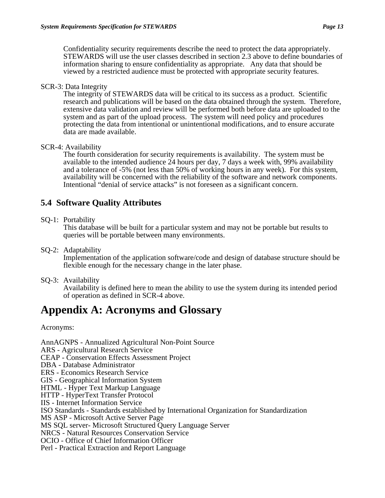Confidentiality security requirements describe the need to protect the data appropriately. STEWARDS will use the user classes described in section 2.3 above to define boundaries of information sharing to ensure confidentiality as appropriate. Any data that should be viewed by a restricted audience must be protected with appropriate security features.

#### SCR-3: Data Integrity

The integrity of STEWARDS data will be critical to its success as a product. Scientific research and publications will be based on the data obtained through the system. Therefore, extensive data validation and review will be performed both before data are uploaded to the system and as part of the upload process. The system will need policy and procedures protecting the data from intentional or unintentional modifications, and to ensure accurate data are made available.

#### SCR-4: Availability

The fourth consideration for security requirements is availability. The system must be available to the intended audience 24 hours per day, 7 days a week with, 99% availability and a tolerance of -5% (not less than 50% of working hours in any week). For this system, availability will be concerned with the reliability of the software and network components. Intentional "denial of service attacks" is not foreseen as a significant concern.

# **5.4 Software Quality Attributes**

#### SQ-1: Portability

This database will be built for a particular system and may not be portable but results to queries will be portable between many environments.

#### SQ-2: Adaptability

Implementation of the application software/code and design of database structure should be flexible enough for the necessary change in the later phase.

#### SQ-3: Availability

Availability is defined here to mean the ability to use the system during its intended period of operation as defined in SCR-4 above.

# **Appendix A: Acronyms and Glossary**

Acronyms:

AnnAGNPS - Annualized Agricultural Non-Point Source ARS - Agricultural Research Service CEAP - Conservation Effects Assessment Project DBA - Database Administrator ERS - Economics Research Service GIS - Geographical Information System HTML - Hyper Text Markup Language HTTP - HyperText Transfer Protocol IIS - Internet Information Service ISO Standards - Standards established by International Organization for Standardization MS ASP - Microsoft Active Server Page MS SQL server- Microsoft Structured Query Language Server NRCS - Natural Resources Conservation Service OCIO - Office of Chief Information Officer Perl - Practical Extraction and Report Language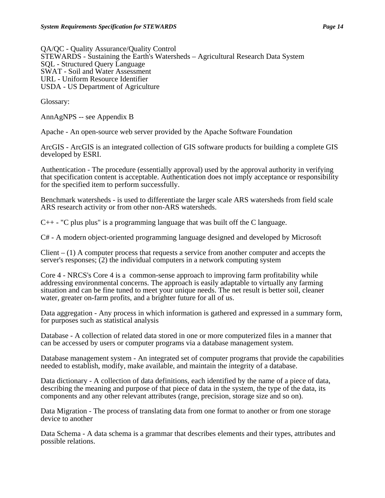QA/QC - Quality Assurance/Quality Control STEWARDS - Sustaining the Earth's Watersheds – Agricultural Research Data System SQL - Structured Query Language SWAT - Soil and Water Assessment

URL - Uniform Resource Identifier

USDA - US Department of Agriculture

Glossary:

AnnAgNPS -- see Appendix B

Apache - An open-source web server provided by the Apache Software Foundation

ArcGIS - ArcGIS is an integrated collection of GIS software products for building a complete GIS developed by ESRI.

Authentication - The procedure (essentially approval) used by the approval authority in verifying that specification content is acceptable. Authentication does not imply acceptance or responsibility for the specified item to perform successfully.

Benchmark watersheds - is used to differentiate the larger scale ARS watersheds from field scale ARS research activity or from other non-ARS watersheds.

 $C_{++}$  - "C plus plus" is a programming language that was built off the C language.

C# - A modern object-oriented programming language designed and developed by Microsoft

 $Client - (1)$  A computer process that requests a service from another computer and accepts the server's responses; (2) the individual computers in a network computing system

Core 4 - NRCS's Core 4 is a common-sense approach to improving farm profitability while addressing environmental concerns. The approach is easily adaptable to virtually any farming situation and can be fine tuned to meet your unique needs. The net result is better soil, cleaner water, greater on-farm profits, and a brighter future for all of us.

Data aggregation - Any process in which information is gathered and expressed in a summary form, for purposes such as statistical analysis

Database - A collection of related data stored in one or more computerized files in a manner that can be accessed by users or computer programs via a database management system.

Database management system - An integrated set of computer programs that provide the capabilities needed to establish, modify, make available, and maintain the integrity of a database.

Data dictionary - A collection of data definitions, each identified by the name of a piece of data, describing the meaning and purpose of that piece of data in the system, the type of the data, its components and any other relevant attributes (range, precision, storage size and so on).

Data Migration - The process of translating data from one format to another or from one storage device to another

Data Schema - A data schema is a grammar that describes elements and their types, attributes and possible relations.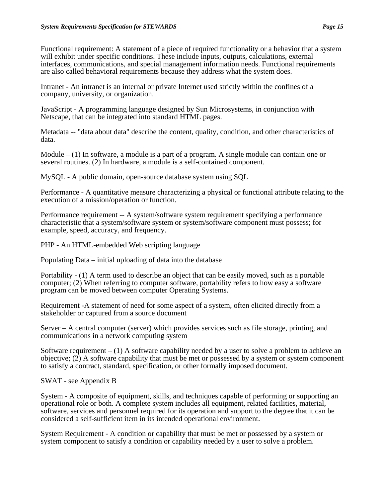Functional requirement: A statement of a piece of required functionality or a behavior that a system will exhibit under specific conditions. These include inputs, outputs, calculations, external interfaces, communications, and special management information needs. Functional requirements are also called behavioral requirements because they address what the system does.

Intranet - An intranet is an internal or private Internet used strictly within the confines of a company, university, or organization.

JavaScript - A programming language designed by Sun Microsystems, in conjunction with Netscape, that can be integrated into standard HTML pages.

Metadata -- "data about data" describe the content, quality, condition, and other characteristics of data.

Module  $- (1)$  In software, a module is a part of a program. A single module can contain one or several routines. (2) In hardware, a module is a self-contained component.

MySQL - A public domain, open-source database system using SQL

Performance - A quantitative measure characterizing a physical or functional attribute relating to the execution of a mission/operation or function.

Performance requirement -- A system/software system requirement specifying a performance characteristic that a system/software system or system/software component must possess; for example, speed, accuracy, and frequency.

PHP - An HTML-embedded Web scripting language

Populating Data – initial uploading of data into the database

Portability - (1) A term used to describe an object that can be easily moved, such as a portable computer; (2) When referring to computer software, portability refers to how easy a software program can be moved between computer Operating Systems.

Requirement -A statement of need for some aspect of a system, often elicited directly from a stakeholder or captured from a source document

Server – A central computer (server) which provides services such as file storage, printing, and communications in a network computing system

Software requirement  $- (1)$  A software capability needed by a user to solve a problem to achieve an objective; (2) A software capability that must be met or possessed by a system or system component to satisfy a contract, standard, specification, or other formally imposed document.

SWAT - see Appendix B

System - A composite of equipment, skills, and techniques capable of performing or supporting an operational role or both. A complete system includes all equipment, related facilities, material, software, services and personnel required for its operation and support to the degree that it can be considered a self-sufficient item in its intended operational environment.

System Requirement - A condition or capability that must be met or possessed by a system or system component to satisfy a condition or capability needed by a user to solve a problem.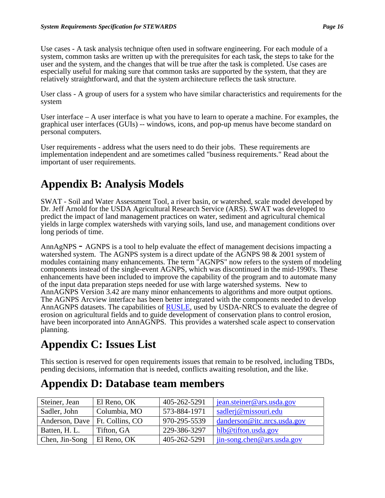Use cases - A task analysis technique often used in software engineering. For each module of a system, common tasks are written up with the prerequisites for each task, the steps to take for the user and the system, and the changes that will be true after the task is completed. Use cases are especially useful for making sure that common tasks are supported by the system, that they are relatively straightforward, and that the system architecture reflects the task structure.

User class - A group of users for a system who have similar characteristics and requirements for the system

User interface – A user interface is what you have to learn to operate a machine. For examples, the graphical user interfaces (GUIs) -- windows, icons, and pop-up menus have become standard on personal computers.

User requirements - address what the users need to do their jobs. These requirements are implementation independent and are sometimes called "business requirements." Read about the important of user requirements.

# **Appendix B: Analysis Models**

SWAT - Soil and Water Assessment Tool, a river basin, or watershed, scale model developed by Dr. Jeff Arnold for the USDA Agricultural Research Service (ARS). SWAT was developed to predict the impact of land management practices on water, sediment and agricultural chemical yields in large complex watersheds with varying soils, land use, and management conditions over long periods of time.

AnnAgNPS - AGNPS is a tool to help evaluate the effect of management decisions impacting a watershed system. The AGNPS system is a direct update of the AGNPS 98 & 2001 system of modules containing many enhancements. The term "AGNPS" now refers to the system of modeling components instead of the single-event AGNPS, which was discontinued in the mid-1990's. These enhancements have been included to improve the capability of the program and to automate many of the input data preparation steps needed for use with large watershed systems. New to AnnAGNPS Version 3.42 are many minor enhancements to algorithms and more output options. The AGNPS Arcview interface has been better integrated with the components needed to develop AnnAGNPS datasets. The capabilities of RUSLE, used by USDA-NRCS to evaluate the degree of erosion on agricultural fields and to guide development of conservation plans to control erosion, have been incorporated into AnnAGNPS. This provides a watershed scale aspect to conservation planning.

# **Appendix C: Issues List**

This section is reserved for open requirements issues that remain to be resolved, including TBDs, pending decisions, information that is needed, conflicts awaiting resolution, and the like.

# **Appendix D: Database team members**

| Steiner, Jean                    | El Reno, OK  | 405-262-5291 | jean.steiner@ars.usda.gov         |
|----------------------------------|--------------|--------------|-----------------------------------|
| Sadler, John                     | Columbia, MO | 573-884-1971 | sadlerj@missouri.edu              |
| Anderson, Dave   Ft. Collins, CO |              | 970-295-5539 | $d$ anderson@itc.nrcs.usda.gov    |
| Batten, H. L.                    | Tifton, GA   | 229-386-3297 | hlb@tifton.usda.gov               |
| Chen, Jin-Song                   | El Reno, OK  | 405-262-5291 | $\int$ jin-song.chen@ars.usda.gov |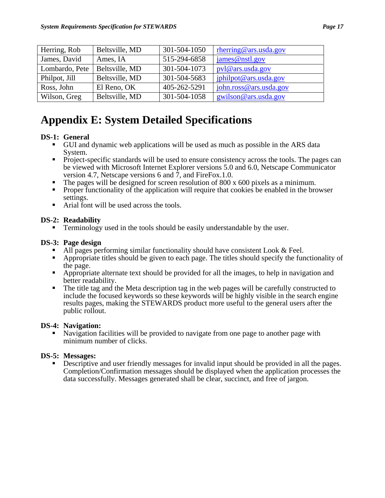| Herring, Rob   | Beltsville, MD | 301-504-1050 | rherring@ars.usda.gov  |
|----------------|----------------|--------------|------------------------|
| James, David   | Ames, IA       | 515-294-6858 | james@nstl.gov         |
| Lombardo, Pete | Beltsville, MD | 301-504-1073 | pvl@ars.usda.gov       |
| Philpot, Jill  | Beltsville, MD | 301-504-5683 | jphilpot@ars.usda.gov  |
| Ross, John     | El Reno, OK    | 405-262-5291 | john.ross@ars.usda.gov |
| Wilson, Greg   | Beltsville, MD | 301-504-1058 | gwilson@ars.usda.gov   |

# **Appendix E: System Detailed Specifications**

## **DS-1: General**

- GUI and dynamic web applications will be used as much as possible in the ARS data System.
- Project-specific standards will be used to ensure consistency across the tools. The pages can be viewed with Microsoft Internet Explorer versions 5.0 and 6.0, Netscape Communicator version 4.7, Netscape versions 6 and 7, and FireFox.1.0.
- The pages will be designed for screen resolution of 800 x 600 pixels as a minimum.
- **Proper functionality of the application will require that cookies be enabled in the browser** settings.
- Arial font will be used across the tools.

#### **DS-2: Readability**

■ Terminology used in the tools should be easily understandable by the user.

#### **DS-3: Page design**

- $\blacksquare$  All pages performing similar functionality should have consistent Look & Feel.
- Appropriate titles should be given to each page. The titles should specify the functionality of
- the page. Appropriate alternate text should be provided for all the images, to help in navigation and <br>■ Appropriate alternate text should be provided for all the images, to help in navigation and better readability.<br> **The title tag and the Meta description tag in the web pages will be carefully constructed to**
- include the focused keywords so these keywords will be highly visible in the search engine results pages, making the STEWARDS product more useful to the general users after the public rollout.

## **DS-4: Navigation:**

 Navigation facilities will be provided to navigate from one page to another page with minimum number of clicks.

#### **DS-5: Messages:**

**Descriptive and user friendly messages for invalid input should be provided in all the pages.** Completion/Confirmation messages should be displayed when the application processes the data successfully. Messages generated shall be clear, succinct, and free of jargon.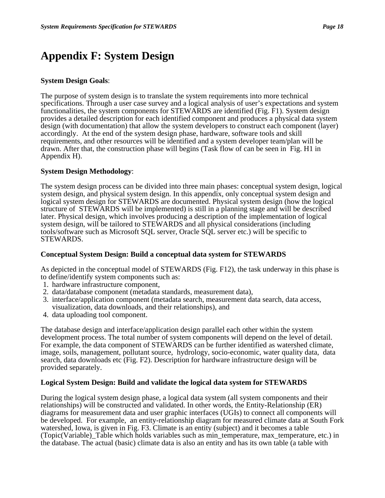# **Appendix F: System Design**

#### **System Design Goals**:

The purpose of system design is to translate the system requirements into more technical specifications. Through a user case survey and a logical analysis of user's expectations and system functionalities, the system components for STEWARDS are identified (Fig. F1). System design provides a detailed description for each identified component and produces a physical data system design (with documentation) that allow the system developers to construct each component (layer) accordingly. At the end of the system design phase, hardware, software tools and skill requirements, and other resources will be identified and a system developer team/plan will be drawn. After that, the construction phase will begins (Task flow of can be seen in Fig. H1 in Appendix H).

#### **System Design Methodology**:

The system design process can be divided into three main phases: conceptual system design, logical system design, and physical system design. In this appendix, only conceptual system design and logical system design for STEWARDS are documented. Physical system design (how the logical structure of STEWARDS will be implemented) is still in a planning stage and will be described later. Physical design, which involves producing a description of the implementation of logical system design, will be tailored to STEWARDS and all physical considerations (including tools/software such as Microsoft SQL server, Oracle SQL server etc.) will be specific to STEWARDS.

#### **Conceptual System Design: Build a conceptual data system for STEWARDS**

As depicted in the conceptual model of STEWARDS (Fig. F12), the task underway in this phase is to define/identify system components such as:

- 1. hardware infrastructure component,
- 2. data/database component (metadata standards, measurement data),
- 3. interface/application component (metadata search, measurement data search, data access, visualization, data downloads, and their relationships), and
- 4. data uploading tool component.

The database design and interface/application design parallel each other within the system development process. The total number of system components will depend on the level of detail. For example, the data component of STEWARDS can be further identified as watershed climate, image, soils, management, pollutant source, hydrology, socio-economic, water quality data, data search, data downloads etc (Fig. F2). Description for hardware infrastructure design will be provided separately.

#### **Logical System Design: Build and validate the logical data system for STEWARDS**

During the logical system design phase, a logical data system (all system components and their relationships) will be constructed and validated. In other words, the Entity-Relationship (ER) diagrams for measurement data and user graphic interfaces (UGIs) to connect all components will be developed. For example, an entity-relationship diagram for measured climate data at South Fork watershed, Iowa, is given in Fig. F3. Climate is an entity (subject) and it becomes a table (Topic(Variable)\_Table which holds variables such as min\_temperature, max\_temperature, etc.) in the database. The actual (basic) climate data is also an entity and has its own table (a table with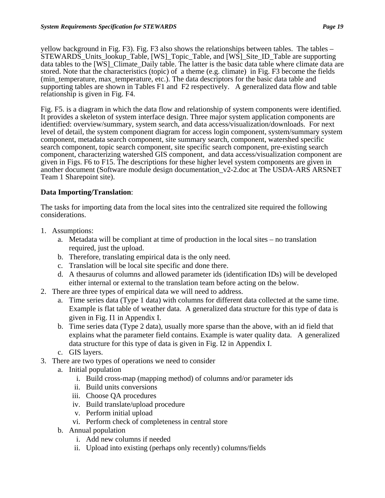yellow background in Fig. F3). Fig. F3 also shows the relationships between tables. The tables – STEWARDS\_Units\_lookup\_Table, [WS]\_Topic\_Table, and [WS]\_Site\_ID\_Table are supporting data tables to the [WS] Climate Daily table. The latter is the basic data table where climate data are stored. Note that the characteristics (topic) of a theme (e.g. climate) in Fig. F3 become the fields (min temperature, max temperature, etc.). The data descriptors for the basic data table and supporting tables are shown in Tables F1 and F2 respectively. A generalized data flow and table relationship is given in Fig. F4.

Fig. F5. is a diagram in which the data flow and relationship of system components were identified. It provides a skeleton of system interface design. Three major system application components are identified: overview/summary, system search, and data access/visualization/downloads. For next level of detail, the system component diagram for access login component, system/summary system component, metadata search component, site summary search, component, watershed specific search component, topic search component, site specific search component, pre-existing search component, characterizing watershed GIS component, and data access/visualization component are given in Figs. F6 to F15. The descriptions for these higher level system components are given in another document (Software module design documentation\_v2-2.doc at The USDA-ARS ARSNET Team 1 Sharepoint site).

## **Data Importing/Translation**:

The tasks for importing data from the local sites into the centralized site required the following considerations.

- 1. Assumptions:
	- a. Metadata will be compliant at time of production in the local sites no translation required, just the upload.
	- b. Therefore, translating empirical data is the only need.
	- c. Translation will be local site specific and done there.
	- d. A thesaurus of columns and allowed parameter ids (identification IDs) will be developed either internal or external to the translation team before acting on the below.
- 2. There are three types of empirical data we will need to address.
	- a. Time series data (Type 1 data) with columns for different data collected at the same time. Example is flat table of weather data. A generalized data structure for this type of data is given in Fig. I1 in Appendix I.
	- b. Time series data (Type 2 data), usually more sparse than the above, with an id field that explains what the parameter field contains. Example is water quality data. A generalized data structure for this type of data is given in Fig. I2 in Appendix I.
	- c. GIS layers.
- 3. There are two types of operations we need to consider
	- a. Initial population
		- i. Build cross-map (mapping method) of columns and/or parameter ids
		- ii. Build units conversions
		- iii. Choose QA procedures
		- iv. Build translate/upload procedure
		- v. Perform initial upload
		- vi. Perform check of completeness in central store
	- b. Annual population
		- i. Add new columns if needed
		- ii. Upload into existing (perhaps only recently) columns/fields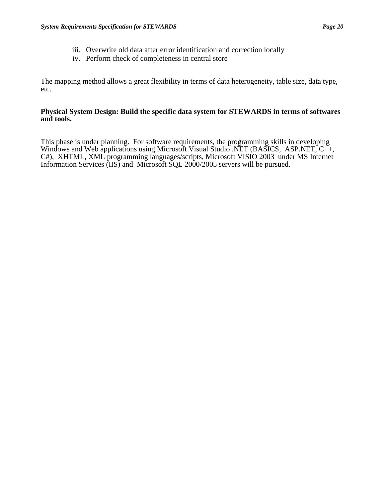- iii. Overwrite old data after error identification and correction locally
- iv. Perform check of completeness in central store

The mapping method allows a great flexibility in terms of data heterogeneity, table size, data type, etc.

#### **Physical System Design: Build the specific data system for STEWARDS in terms of softwares and tools.**

This phase is under planning. For software requirements, the programming skills in developing Windows and Web applications using Microsoft Visual Studio .NET (BASICS, ASP.NET, C++, C#), XHTML, XML programming languages/scripts, Microsoft VISIO 2003 under MS Internet Information Services (IIS) and Microsoft SQL 2000/2005 servers will be pursued.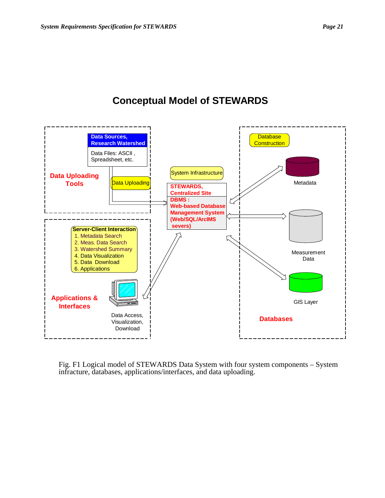# **Conceptual Model of STEWARDS**



Fig. F1 Logical model of STEWARDS Data System with four system components – System infracture, databases, applications/interfaces, and data uploading.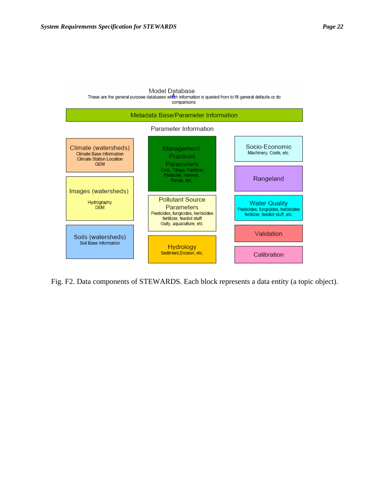

Fig. F2. Data components of STEWARDS. Each block represents a data entity (a topic object).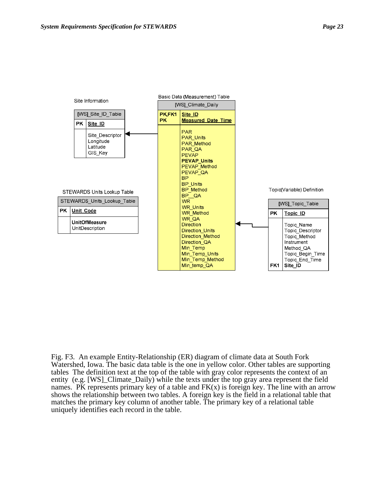

Fig. F3. An example Entity-Relationship (ER) diagram of climate data at South Fork Watershed, Iowa. The basic data table is the one in yellow color. Other tables are supporting tables The definition text at the top of the table with gray color represents the context of an entity (e.g. [WS]\_Climate\_Daily) while the texts under the top gray area represent the field names. PK represents primary key of a table and  $FK(x)$  is foreign key. The line with an arrow shows the relationship between two tables. A foreign key is the field in a relational table that matches the primary key column of another table. The primary key of a relational table uniquely identifies each record in the table.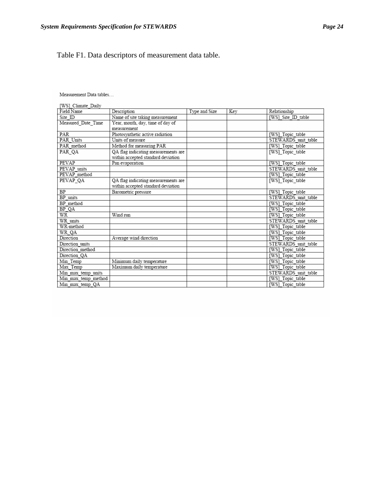## Table F1. Data descriptors of measurement data table.

Measurement Data tables...

| [WS] Climate Daily  |                                     |               |     |                     |
|---------------------|-------------------------------------|---------------|-----|---------------------|
| Field Name          | Description                         | Type and Size | Kev | Relationship        |
| Site ID             | Name of site taking measurement     |               |     | [WS] Site ID table  |
| Measured Date Time  | Year, month, day, time of day of    |               |     |                     |
|                     | measurement                         |               |     |                     |
| PAR                 | Photosynthetic active radiation     |               |     | [WS] Topic table    |
| PAR Units           | Units of measure                    |               |     | STEWARDS unit table |
| PAR method          | Method for measuring PAR            |               |     | [WS] Topic table    |
| PAR QA              | QA flag indicating measurements are |               |     | [WS]_Topic_table    |
|                     | within accepted standard deviation  |               |     |                     |
| PEVAP               | Pan evaporation                     |               |     | [WS] Topic table    |
| PEVAP units         |                                     |               |     | STEWARDS unit table |
| PEVAP method        |                                     |               |     | [WS] Topic table    |
| PEVAP QA            | QA flag indicating measurements are |               |     | [WS] Topic table    |
|                     | within accepted standard deviation  |               |     |                     |
| BP                  | Barometric pressure                 |               |     | [WS] Topic table    |
| BP units            |                                     |               |     | STEWARDS unit table |
| BP method           |                                     |               |     | [WS] Topic table    |
| BP QA               |                                     |               |     | [WS] Topic table    |
| WR                  | Wind run                            |               |     | [WS] Topic table    |
| WR units            |                                     |               |     | STEWARDS unit table |
| WR-method           |                                     |               |     | [WS] Topic table    |
| WR_QA               |                                     |               |     | [WS] Topic table    |
| Direction           | Average wind direction              |               |     | [WS] Topic table    |
| Direction units     |                                     |               |     | STEWARDS unit table |
| Direction method    |                                     |               |     | [WS]_Topic_table    |
| Direction QA        |                                     |               |     | [WS] Topic table    |
| Min Temp            | Minimum daily temperature           |               |     | [WS] Topic table    |
| Max Temp            | Maximum daily temperature           |               |     | [WS] Topic table    |
| Min max temp units  |                                     |               |     | STEWARDS unit table |
| Min max temp method |                                     |               |     | [WS] Topic table    |
| Min max temp OA     |                                     |               |     | [WS] Topic table    |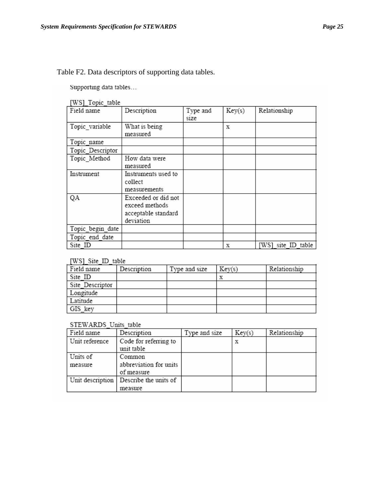Table F2. Data descriptors of supporting data tables.

Supporting data tables...

[WS] Topic table

| . <u>.</u><br>Field name | Description                                                               | Type and<br>size | Key(s) | Relationship       |
|--------------------------|---------------------------------------------------------------------------|------------------|--------|--------------------|
| Topic variable           | What is being<br>measured                                                 |                  | X      |                    |
| Topic name               |                                                                           |                  |        |                    |
| Topic Descriptor         |                                                                           |                  |        |                    |
| Topic Method             | How data were<br>measured                                                 |                  |        |                    |
| Instrument               | Instruments used to<br>collect<br>measurements                            |                  |        |                    |
| QA                       | Exceeded or did not<br>exceed methods<br>acceptable standard<br>deviation |                  |        |                    |
| Topic begin date         |                                                                           |                  |        |                    |
| Topic end date           |                                                                           |                  |        |                    |
| Site ID                  |                                                                           |                  | x      | [WS] site ID table |

#### **IWS1** Site ID table

| Field name      | Description | Type and size | Key(s) | Relationship |
|-----------------|-------------|---------------|--------|--------------|
| Site ID         |             |               |        |              |
| Site Descriptor |             |               |        |              |
| Longitude       |             |               |        |              |
| I Latitude      |             |               |        |              |
| GIS key         |             |               |        |              |

#### STEWARDS Units table

| Field name       | Description                         | Type and size | Key(s) | Relationship |
|------------------|-------------------------------------|---------------|--------|--------------|
| Unit reference   | Code for referring to<br>unit table |               |        |              |
|                  |                                     |               |        |              |
| Units of         | Common                              |               |        |              |
| measure          | abbreviation for units              |               |        |              |
|                  | of measure                          |               |        |              |
| Unit description | Describe the units of               |               |        |              |
|                  | measure                             |               |        |              |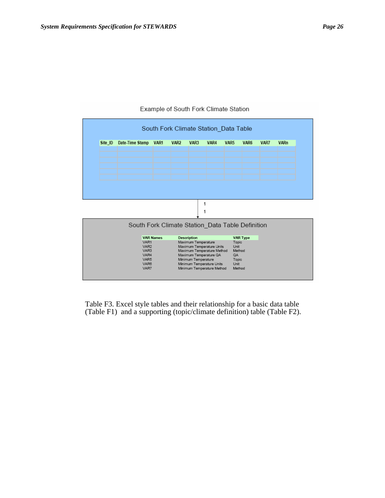|         |                                                  |                  |                  |                     | South Fork Climate Station Data Table |                  |                  |      |             |
|---------|--------------------------------------------------|------------------|------------------|---------------------|---------------------------------------|------------------|------------------|------|-------------|
| Site_ID | Date-Time Stamp                                  | VAR <sub>1</sub> | VAR <sub>2</sub> | VAR <sub>3</sub>    | VAR4                                  | VAR <sub>5</sub> | VAR <sub>6</sub> | VAR7 | <b>VARn</b> |
|         |                                                  |                  |                  |                     |                                       |                  |                  |      |             |
|         |                                                  |                  |                  |                     |                                       |                  |                  |      |             |
|         |                                                  |                  |                  |                     |                                       |                  |                  |      |             |
|         |                                                  |                  |                  |                     |                                       |                  |                  |      |             |
|         |                                                  |                  |                  |                     |                                       |                  |                  |      |             |
|         |                                                  |                  |                  |                     |                                       |                  |                  |      |             |
|         |                                                  |                  |                  |                     | 1                                     |                  |                  |      |             |
|         |                                                  |                  |                  |                     |                                       |                  |                  |      |             |
|         | South Fork Climate Station_Data Table Definition |                  |                  |                     |                                       |                  |                  |      |             |
|         |                                                  |                  |                  |                     |                                       |                  |                  |      |             |
|         | VAR1                                             | <b>VAR Names</b> |                  | <b>Description</b>  |                                       | Topic            | <b>VAR Type</b>  |      |             |
|         | VAR <sub>2</sub>                                 |                  |                  | Maximum Temperature | Maximum Temperature Units             | Unit             |                  |      |             |
|         | VAR <sub>3</sub>                                 |                  |                  |                     | Maximum Temperature Method            |                  | Method           |      |             |
|         | VAR4                                             |                  |                  |                     | Maximum Temperature QA                | QA               |                  |      |             |
|         | VAR5<br>VAR <sub>8</sub>                         |                  |                  | Minimum Temperature | Minimum Temperature Units             | Topic<br>Unit    |                  |      |             |

#### Example of South Fork Climate Station

Table F3. Excel style tables and their relationship for a basic data table (Table F1) and a supporting (topic/climate definition) table (Table F2).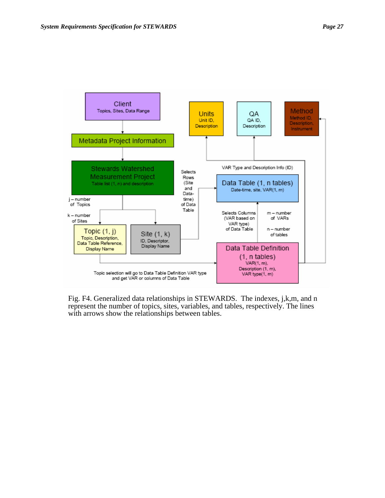

Fig. F4. Generalized data relationships in STEWARDS. The indexes, j,k,m, and n represent the number of topics, sites, variables, and tables, respectively. The lines with arrows show the relationships between tables.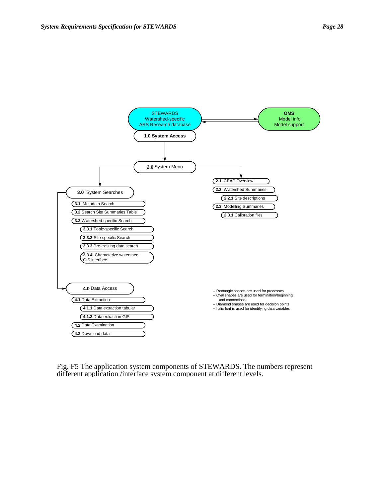

Fig. F5 The application system components of STEWARDS. The numbers represent different application /interface system component at different levels.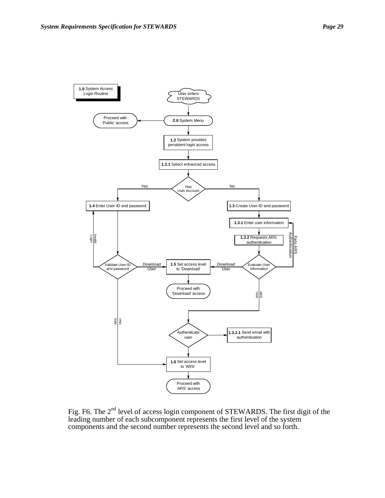

Fig. F6. The  $2<sup>nd</sup>$  level of access login component of STEWARDS. The first digit of the leading number of each subcomponent represents the first level of the system components and the second number represents the second level and so forth.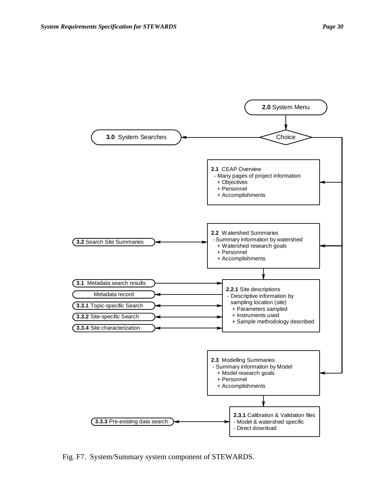

Fig. F7. System/Summary system component of STEWARDS.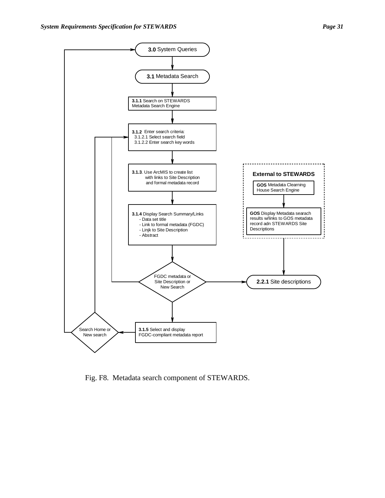

Fig. F8. Metadata search component of STEWARDS.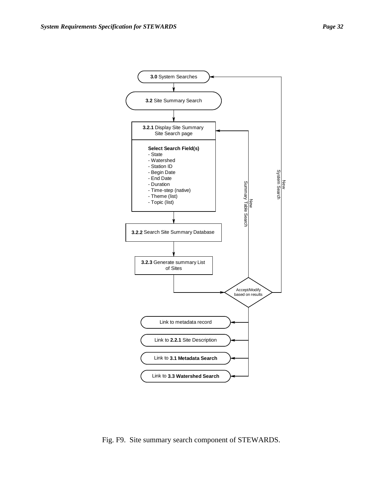

Fig. F9. Site summary search component of STEWARDS.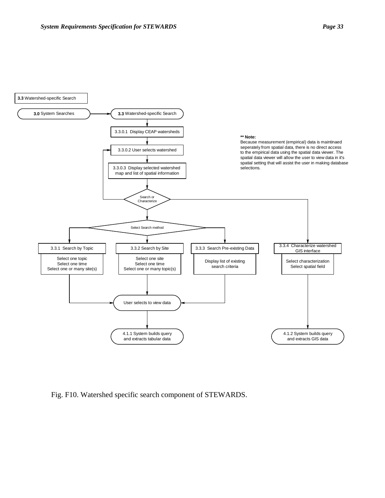



Fig. F10. Watershed specific search component of STEWARDS.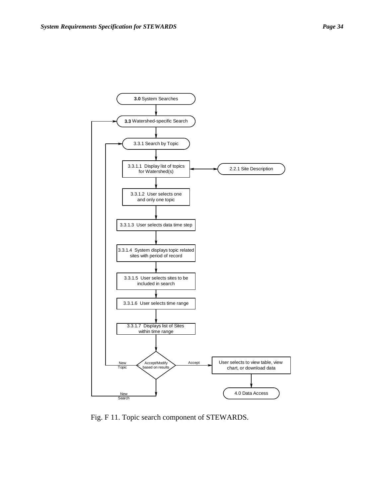

Fig. F 11. Topic search component of STEWARDS.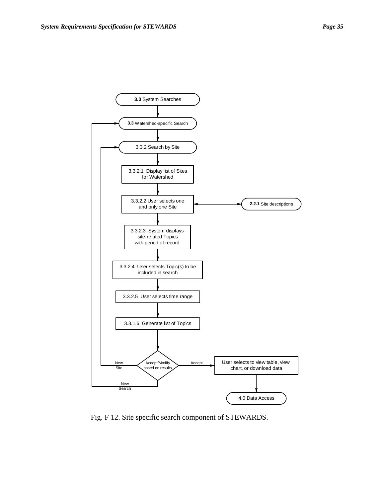

Fig. F 12. Site specific search component of STEWARDS.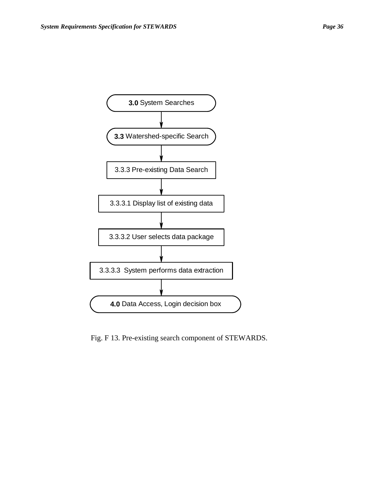

Fig. F 13. Pre-existing search component of STEWARDS.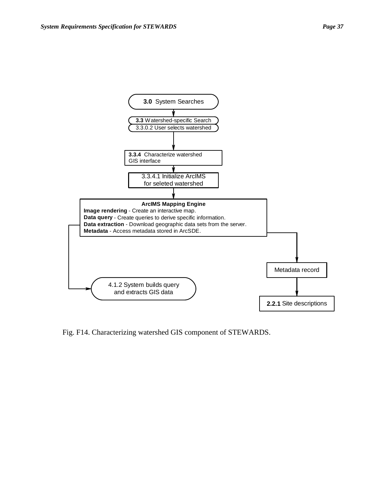

Fig. F14. Characterizing watershed GIS component of STEWARDS.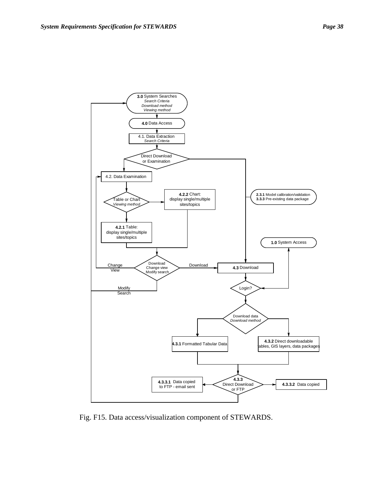

Fig. F15. Data access/visualization component of STEWARDS.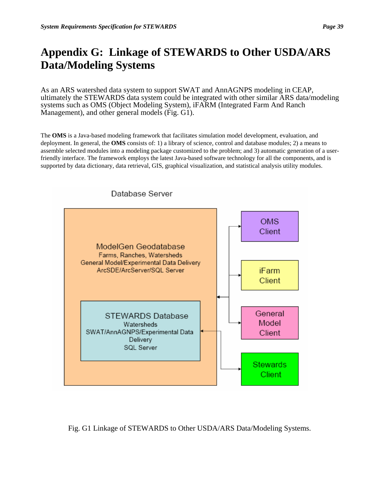# **Appendix G: Linkage of STEWARDS to Other USDA/ARS Data/Modeling Systems**

As an ARS watershed data system to support SWAT and AnnAGNPS modeling in CEAP, ultimately the STEWARDS data system could be integrated with other similar ARS data/modeling systems such as OMS (Object Modeling System), iFARM (Integrated Farm And Ranch Management), and other general models (Fig. G1).

The **OMS** is a Java-based modeling framework that facilitates simulation model development, evaluation, and deployment. In general, the **OMS** consists of: 1) a library of science, control and database modules; 2) a means to assemble selected modules into a modeling package customized to the problem; and 3) automatic generation of a userfriendly interface. The framework employs the latest Java-based software technology for all the components, and is supported by data dictionary, data retrieval, GIS, graphical visualization, and statistical analysis utility modules.



Database Server

Fig. G1 Linkage of STEWARDS to Other USDA/ARS Data/Modeling Systems.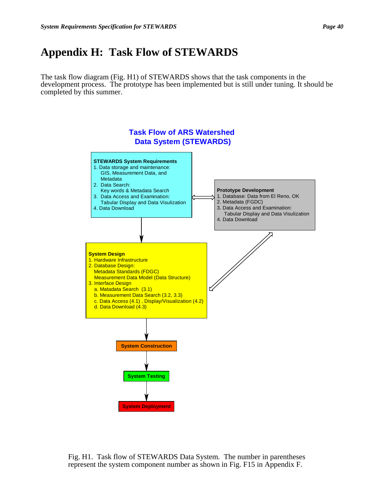# **Appendix H: Task Flow of STEWARDS**

The task flow diagram (Fig. H1) of STEWARDS shows that the task components in the development process. The prototype has been implemented but is still under tuning. It should be completed by this summer.



Fig. H1. Task flow of STEWARDS Data System. The number in parentheses represent the system component number as shown in Fig. F15 in Appendix F.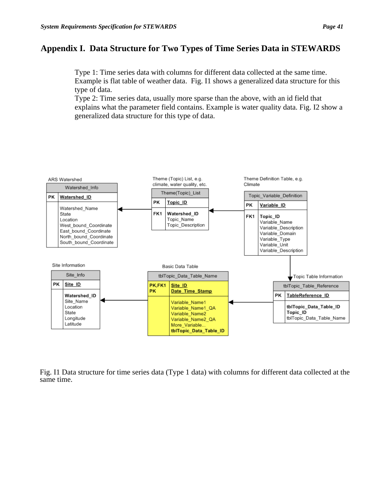## **Appendix I. Data Structure for Two Types of Time Series Data in STEWARDS**

Type 1: Time series data with columns for different data collected at the same time. Example is flat table of weather data. Fig. I1 shows a generalized data structure for this type of data.

Type 2: Time series data, usually more sparse than the above, with an id field that explains what the parameter field contains. Example is water quality data. Fig. I2 show a generalized data structure for this type of data.



Fig. I1 Data structure for time series data (Type 1 data) with columns for different data collected at the same time.